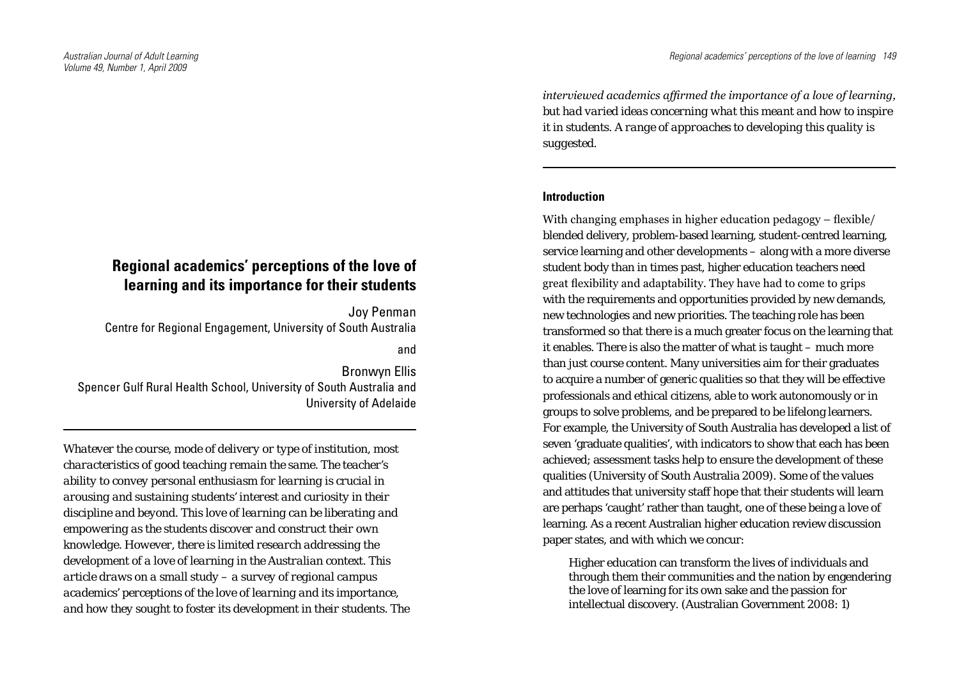# **Regional academics' perceptions of the love of learning and its importance for their students**

Joy Penman Centre for Regional Engagement, University of South Australia and

Bronwyn Ellis Spencer Gulf Rural Health School, University of South Australia and University of Adelaide

*Whatever the course, mode of delivery or type of institution, most characteristics of good teaching remain the same. The teacher's ability to convey personal enthusiasm for learning is crucial in arousing and sustaining students' interest and curiosity in their discipline and beyond. This love of learning can be liberating and empowering as the students discover and construct their own knowledge. However, there is limited research addressing the development of a love of learning in the Australian context. This article draws on a small study – a survey of regional campus academics' perceptions of the love of learning and its importance, and how they sought to foster its development in their students. The*  *interviewed academics affirmed the importance of a love of learning, but had varied ideas concerning what this meant and how to inspire it in students. A range of approaches to developing this quality is suggested.*

## **Introduction**

With changing emphases in higher education pedagogy – flexible/ blended delivery, problem-based learning, student-centred learning, service learning and other developments – along with a more diverse student body than in times past, higher education teachers need great flexibility and adaptability. They have had to come to grips with the requirements and opportunities provided by new demands, new technologies and new priorities. The teaching role has been transformed so that there is a much greater focus on the learning that it enables. There is also the matter of what is taught – much more than just course content. Many universities aim for their graduates to acquire a number of generic qualities so that they will be effective professionals and ethical citizens, able to work autonomously or in groups to solve problems, and be prepared to be lifelong learners. For example, the University of South Australia has developed a list of seven 'graduate qualities', with indicators to show that each has been achieved; assessment tasks help to ensure the development of these qualities (University of South Australia 2009). Some of the values and attitudes that university staff hope that their students will learn are perhaps 'caught' rather than taught, one of these being a love of learning. As a recent Australian higher education review discussion paper states, and with which we concur:

Higher education can transform the lives of individuals and through them their communities and the nation by engendering the love of learning for its own sake and the passion for intellectual discovery. (Australian Government 2008: 1)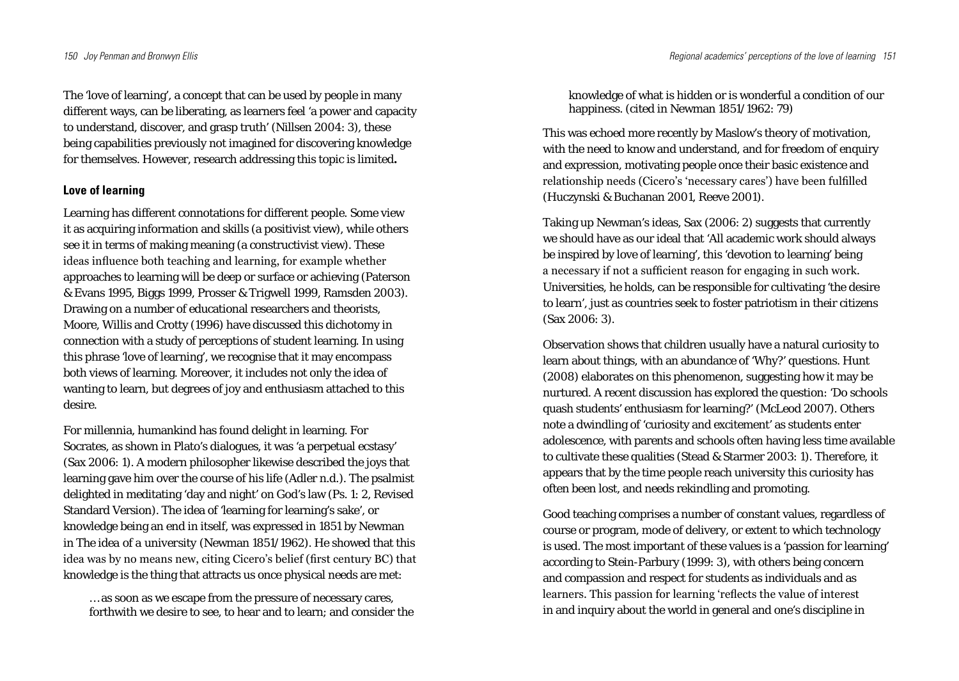The 'love of learning', a concept that can be used by people in many different ways, can be liberating, as learners feel 'a power and capacity to understand, discover, and grasp truth' (Nillsen 2004: 3), these being capabilities previously not imagined for discovering knowledge for themselves. However, research addressing this topic is limited**.**

#### **Love of learning**

Learning has different connotations for different people. Some view it as acquiring information and skills (a positivist view), while others see it in terms of making meaning (a constructivist view). These ideas influence both teaching and learning, for example whether approaches to learning will be deep or surface or achieving (Paterson & Evans 1995, Biggs 1999, Prosser & Trigwell 1999, Ramsden 2003). Drawing on a number of educational researchers and theorists, Moore, Willis and Crotty (1996) have discussed this dichotomy in connection with a study of perceptions of student learning. In using this phrase 'love of learning', we recognise that it may encompass both views of learning. Moreover, it includes not only the idea of wanting to learn, but degrees of joy and enthusiasm attached to this desire.

For millennia, humankind has found delight in learning. For Socrates, as shown in Plato's dialogues, it was 'a perpetual ecstasy' (Sax 2006: 1). A modern philosopher likewise described the joys that learning gave him over the course of his life (Adler n.d.). The psalmist delighted in meditating 'day and night' on God's law (Ps. 1: 2, Revised Standard Version). The idea of 'learning for learning's sake', or knowledge being an end in itself, was expressed in 1851 by Newman in *The idea of a university* (Newman 1851/1962). He showed that this idea was by no means new, citing Cicero's belief (first century BC) that knowledge is the thing that attracts us once physical needs are met:

… as soon as we escape from the pressure of necessary cares, forthwith we desire to see, to hear and to learn; and consider the knowledge of what is hidden or is wonderful a condition of our happiness. (cited in Newman 1851/1962: 79)

This was echoed more recently by Maslow's theory of motivation, with the need to know and understand, and for freedom of enquiry and expression, motivating people once their basic existence and relationship needs (Cicero's 'necessary cares') have been fulfilled (Huczynski & Buchanan 2001, Reeve 2001).

Taking up Newman's ideas, Sax (2006: 2) suggests that currently we should have as our ideal that 'All academic work should always be inspired by love of learning', this 'devotion to learning' being a necessary if not a sufficient reason for engaging in such work. Universities, he holds, can be responsible for cultivating 'the desire to learn', just as countries seek to foster patriotism in their citizens (Sax 2006: 3).

Observation shows that children usually have a natural curiosity to learn about things, with an abundance of 'Why?' questions. Hunt (2008) elaborates on this phenomenon, suggesting how it may be nurtured. A recent discussion has explored the question: 'Do schools quash students' enthusiasm for learning?' (McLeod 2007). Others note a dwindling of 'curiosity and excitement' as students enter adolescence, with parents and schools often having less time available to cultivate these qualities (Stead & Starmer 2003: 1). Therefore, it appears that by the time people reach university this curiosity has often been lost, and needs rekindling and promoting.

Good teaching comprises a number of constant values, regardless of course or program, mode of delivery, or extent to which technology is used. The most important of these values is a 'passion for learning' according to Stein-Parbury (1999: 3), with others being concern and compassion and respect for students as individuals and as learners. This passion for learning 'reflects the value of interest in and inquiry about the world in general and one's discipline in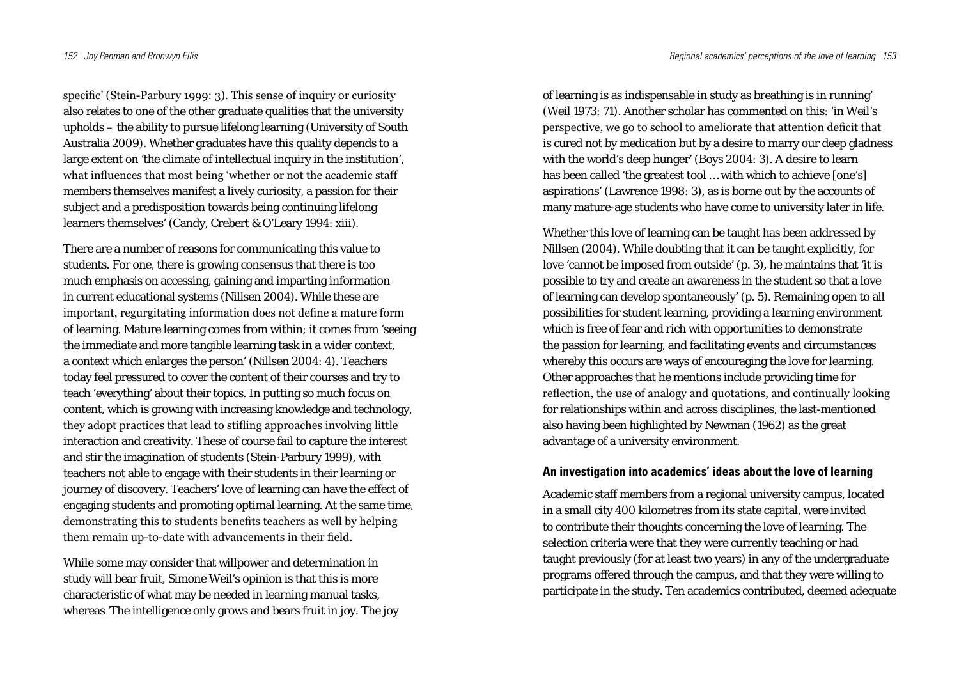specific' (Stein-Parbury 1999: 3). This sense of inquiry or curiosity also relates to one of the other graduate qualities that the university upholds – the ability to pursue lifelong learning (University of South Australia 2009). Whether graduates have this quality depends to a large extent on 'the climate of intellectual inquiry in the institution', what influences that most being 'whether or not the academic staff members themselves manifest a lively curiosity, a passion for their subject and a predisposition towards being continuing lifelong learners themselves' (Candy, Crebert & O'Leary 1994: xiii).

There are a number of reasons for communicating this value to students. For one, there is growing consensus that there is too much emphasis on accessing, gaining and imparting information in current educational systems (Nillsen 2004). While these are important, regurgitating information does not define a mature form of learning. Mature learning comes from within; it comes from 'seeing the immediate and more tangible learning task in a wider context, a context which enlarges the person' (Nillsen 2004: 4). Teachers today feel pressured to cover the content of their courses and try to teach 'everything' about their topics. In putting so much focus on content, which is growing with increasing knowledge and technology, they adopt practices that lead to stifling approaches involving little interaction and creativity. These of course fail to capture the interest and stir the imagination of students (Stein-Parbury 1999), with teachers not able to engage with their students in their learning or journey of discovery. Teachers' love of learning can have the effect of engaging students and promoting optimal learning. At the same time, demonstrating this to students benefits teachers as well by helping them remain up-to-date with advancements in their field.

While some may consider that willpower and determination in study will bear fruit, Simone Weil's opinion is that this is more characteristic of what may be needed in learning manual tasks, whereas 'The intelligence only grows and bears fruit in joy. The joy

of learning is as indispensable in study as breathing is in running' (Weil 1973: 71). Another scholar has commented on this: 'in Weil's perspective, we go to school to ameliorate that attention deficit that is cured not by medication but by a desire to marry our deep gladness with the world's deep hunger' (Boys 2004: 3). A desire to learn has been called 'the greatest tool … with which to achieve [one's] aspirations' (Lawrence 1998: 3), as is borne out by the accounts of many mature-age students who have come to university later in life.

Whether this love of learning can be taught has been addressed by Nillsen (2004). While doubting that it can be taught explicitly, for love 'cannot be imposed from outside' (p. 3), he maintains that 'it is possible to try and create an awareness in the student so that a love of learning can develop spontaneously' (p. 5). Remaining open to all possibilities for student learning, providing a learning environment which is free of fear and rich with opportunities to demonstrate the passion for learning, and facilitating events and circumstances whereby this occurs are ways of encouraging the love for learning. Other approaches that he mentions include providing time for reflection, the use of analogy and quotations, and continually looking for relationships within and across disciplines, the last-mentioned also having been highlighted by Newman (1962) as the great advantage of a university environment.

#### **An investigation into academics' ideas about the love of learning**

Academic staff members from a regional university campus, located in a small city 400 kilometres from its state capital, were invited to contribute their thoughts concerning the love of learning. The selection criteria were that they were currently teaching or had taught previously (for at least two years) in any of the undergraduate programs offered through the campus, and that they were willing to participate in the study. Ten academics contributed, deemed adequate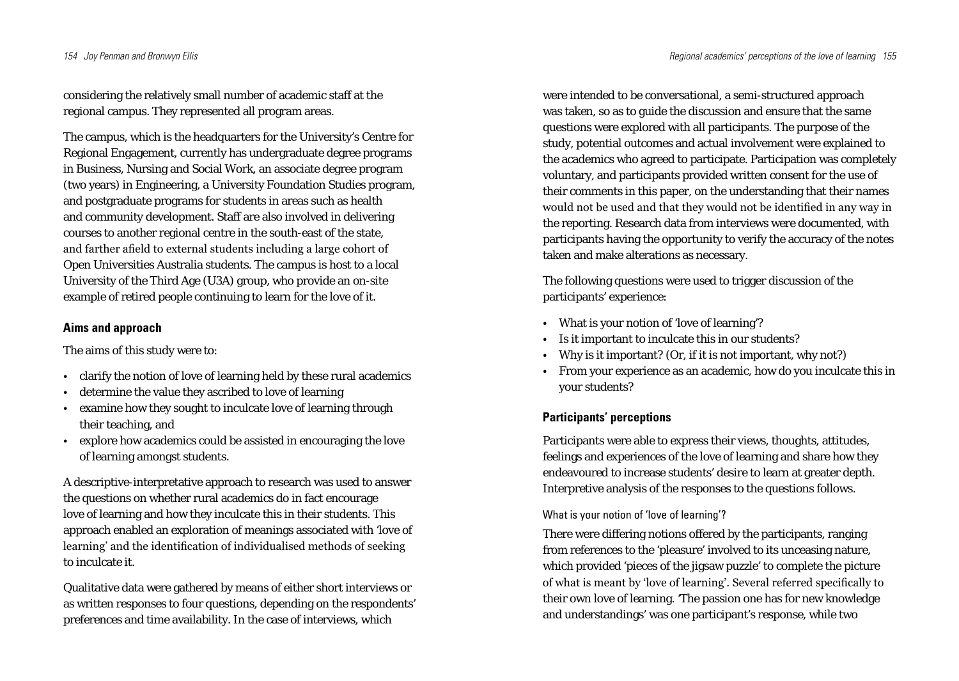considering the relatively small number of academic staff at the regional campus. They represented all program areas.

The campus, which is the headquarters for the University's Centre for Regional Engagement, currently has undergraduate degree programs in Business, Nursing and Social Work, an associate degree program (two years) in Engineering, a University Foundation Studies program, and postgraduate programs for students in areas such as health and community development. Staff are also involved in delivering courses to another regional centre in the south-east of the state, and farther afield to external students including a large cohort of Open Universities Australia students. The campus is host to a local University of the Third Age (U3A) group, who provide an on-site example of retired people continuing to learn for the love of it.

### **Aims and approach**

The aims of this study were to:

- clarify the notion of love of learning held by these rural academics
- determine the value they ascribed to love of learning
- examine how they sought to inculcate love of learning through their teaching, and
- • explore how academics could be assisted in encouraging the love of learning amongst students.

A descriptive-interpretative approach to research was used to answer the questions on whether rural academics do in fact encourage love of learning and how they inculcate this in their students. This approach enabled an exploration of meanings associated with 'love of learning' and the identification of individualised methods of seeking to inculcate it.

Qualitative data were gathered by means of either short interviews or as written responses to four questions, depending on the respondents' preferences and time availability. In the case of interviews, which

were intended to be conversational, a semi-structured approach was taken, so as to guide the discussion and ensure that the same questions were explored with all participants. The purpose of the study, potential outcomes and actual involvement were explained to the academics who agreed to participate. Participation was completely voluntary, and participants provided written consent for the use of their comments in this paper, on the understanding that their names would not be used and that they would not be identified in any way in the reporting. Research data from interviews were documented, with participants having the opportunity to verify the accuracy of the notes taken and make alterations as necessary.

The following questions were used to trigger discussion of the participants' experience:

- • What is your notion of 'love of learning'?
- Is it important to inculcate this in our students?
- Why is it important? (Or, if it is not important, why not?)
- From your experience as an academic, how do you inculcate this in your students?

# **Participants' perceptions**

Participants were able to express their views, thoughts, attitudes, feelings and experiences of the love of learning and share how they endeavoured to increase students' desire to learn at greater depth. Interpretive analysis of the responses to the questions follows.

## What is your notion of 'love of learning'?

There were differing notions offered by the participants, ranging from references to the 'pleasure' involved to its unceasing nature, which provided 'pieces of the jigsaw puzzle' to complete the picture of what is meant by 'love of learning'. Several referred specifically to their own love of learning. 'The passion one has for new knowledge and understandings' was one participant's response, while two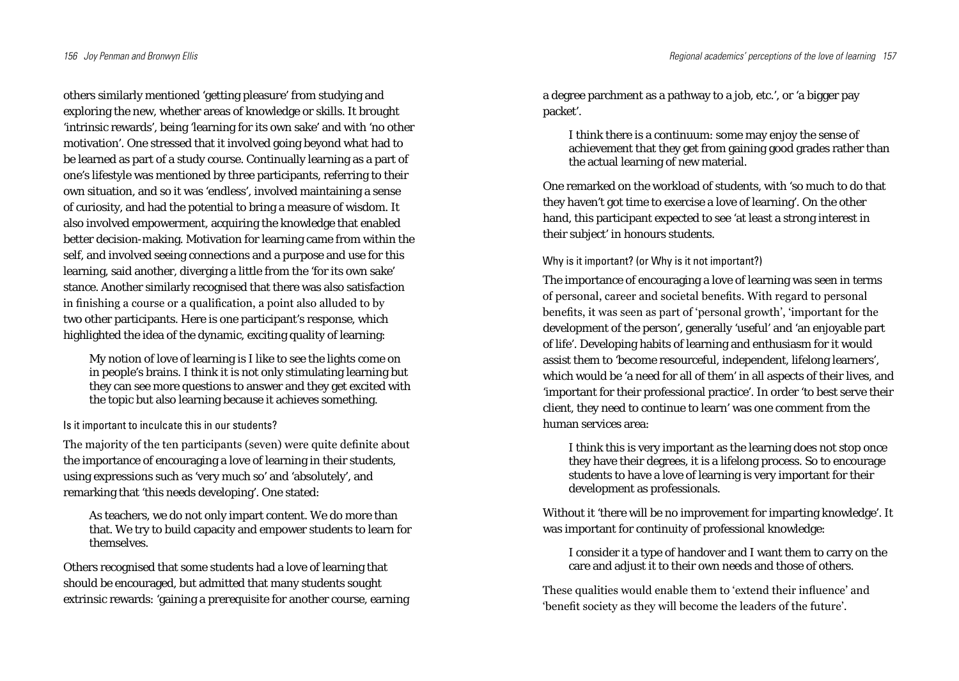others similarly mentioned 'getting pleasure' from studying and exploring the new, whether areas of knowledge or skills. It brought 'intrinsic rewards', being 'learning for its own sake' and with 'no other motivation'. One stressed that it involved going beyond what had to be learned as part of a study course. Continually learning as a part of one's lifestyle was mentioned by three participants, referring to their own situation, and so it was 'endless', involved maintaining a sense of curiosity, and had the potential to bring a measure of wisdom. It also involved empowerment, acquiring the knowledge that enabled better decision-making. Motivation for learning came from within the self, and involved seeing connections and a purpose and use for this learning, said another, diverging a little from the 'for its own sake' stance. Another similarly recognised that there was also satisfaction in finishing a course or a qualification, a point also alluded to by two other participants. Here is one participant's response, which highlighted the idea of the dynamic, exciting quality of learning:

My notion of love of learning is I like to see the lights come on in people's brains. I think it is not only stimulating learning but they can see more questions to answer and they get excited with the topic but also learning because it achieves something.

Is it important to inculcate this in our students?

The majority of the ten participants (seven) were quite definite about the importance of encouraging a love of learning in their students, using expressions such as 'very much so' and 'absolutely', and remarking that 'this needs developing'. One stated:

As teachers, we do not only impart content. We do more than that. We try to build capacity and empower students to learn for themselves.

Others recognised that some students had a love of learning that should be encouraged, but admitted that many students sought extrinsic rewards: 'gaining a prerequisite for another course, earning a degree parchment as a pathway to a job, etc.', or 'a bigger pay packet'.

I think there is a continuum: some may enjoy the sense of achievement that they get from gaining good grades rather than the actual learning of new material.

One remarked on the workload of students, with 'so much to do that they haven't got time to exercise a love of learning'. On the other hand, this participant expected to see 'at least a strong interest in their subject' in honours students.

Why is it important? (or Why is it not important?)

The importance of encouraging a love of learning was seen in terms of personal, career and societal benefits. With regard to personal benefits, it was seen as part of 'personal growth', 'important for the development of the person', generally 'useful' and 'an enjoyable part of life'. Developing habits of learning and enthusiasm for it would assist them to 'become resourceful, independent, lifelong learners', which would be 'a need for all of them' in all aspects of their lives, and 'important for their professional practice'. In order 'to best serve their client, they need to continue to learn' was one comment from the human services area:

I think this is very important as the learning does not stop once they have their degrees, it is a lifelong process. So to encourage students to have a love of learning is very important for their development as professionals.

Without it 'there will be no improvement for imparting knowledge'. It was important for continuity of professional knowledge:

I consider it a type of handover and I want them to carry on the care and adjust it to their own needs and those of others.

These qualities would enable them to 'extend their influence' and 'benefit society as they will become the leaders of the future'.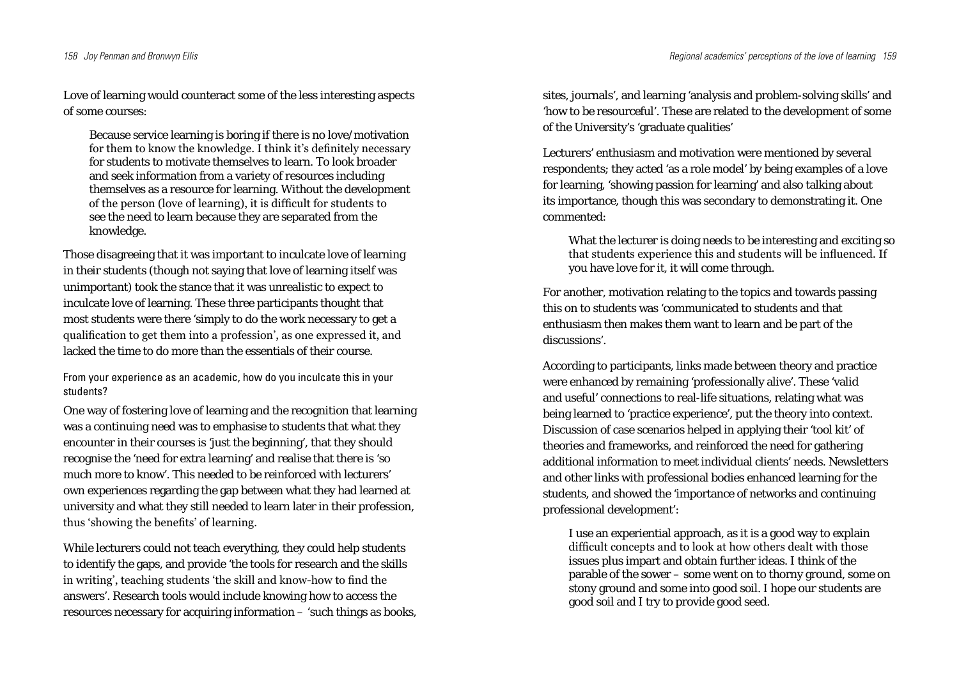Love of learning would counteract some of the less interesting aspects of some courses:

Because service learning is boring if there is no love/motivation for them to know the knowledge. I think it's definitely necessary for students to motivate themselves to learn. To look broader and seek information from a variety of resources including themselves as a resource for learning. Without the development of the person (love of learning), it is difficult for students to see the need to learn because they are separated from the knowledge.

Those disagreeing that it was important to inculcate love of learning in their students (though not saying that love of learning itself was unimportant) took the stance that it was unrealistic to expect to inculcate love of learning. These three participants thought that most students were there 'simply to do the work necessary to get a qualification to get them into a profession', as one expressed it, and lacked the time to do more than the essentials of their course.

From your experience as an academic, how do you inculcate this in your students?

One way of fostering love of learning and the recognition that learning was a continuing need was to emphasise to students that what they encounter in their courses is 'just the beginning', that they should recognise the 'need for extra learning' and realise that there is 'so much more to know'. This needed to be reinforced with lecturers' own experiences regarding the gap between what they had learned at university and what they still needed to learn later in their profession, thus 'showing the benefits' of learning.

While lecturers could not teach everything, they could help students to identify the gaps, and provide 'the tools for research and the skills in writing', teaching students 'the skill and know-how to find the answers'. Research tools would include knowing how to access the resources necessary for acquiring information – 'such things as books, sites, journals', and learning 'analysis and problem-solving skills' and 'how to be resourceful'. These are related to the development of some of the University's 'graduate qualities'

Lecturers' enthusiasm and motivation were mentioned by several respondents; they acted 'as a role model' by being examples of a love for learning, 'showing passion for learning' and also talking about its importance, though this was secondary to demonstrating it. One commented:

What the lecturer is doing needs to be interesting and exciting so that students experience this and students will be influenced. If you have love for it, it will come through.

For another, motivation relating to the topics and towards passing this on to students was 'communicated to students and that enthusiasm then makes them want to learn and be part of the discussions'.

According to participants, links made between theory and practice were enhanced by remaining 'professionally alive'. These 'valid and useful' connections to real-life situations, relating what was being learned to 'practice experience', put the theory into context. Discussion of case scenarios helped in applying their 'tool kit' of theories and frameworks, and reinforced the need for gathering additional information to meet individual clients' needs. Newsletters and other links with professional bodies enhanced learning for the students, and showed the 'importance of networks and continuing professional development':

I use an experiential approach, as it is a good way to explain difficult concepts and to look at how others dealt with those issues plus impart and obtain further ideas. I think of the parable of the sower – some went on to thorny ground, some on stony ground and some into good soil. I hope our students are good soil and I try to provide good seed.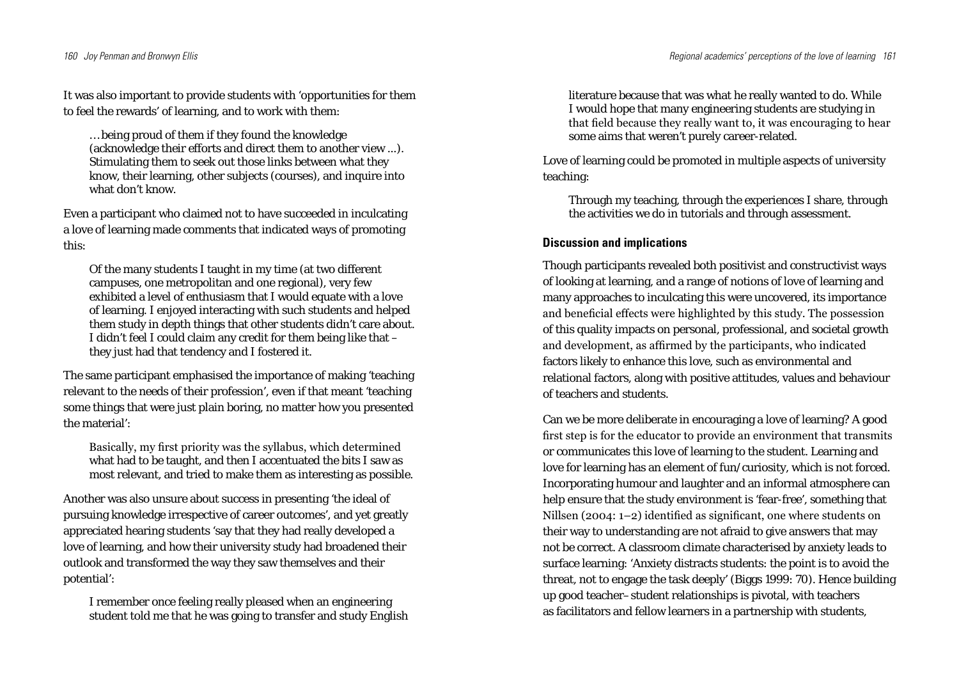It was also important to provide students with 'opportunities for them to feel the rewards' of learning, and to work with them:

… being proud of them if they found the knowledge (acknowledge their efforts and direct them to another view ...). Stimulating them to seek out those links between what they know, their learning, other subjects (courses), and inquire into what don't know.

Even a participant who claimed not to have succeeded in inculcating a love of learning made comments that indicated ways of promoting this:

Of the many students I taught in my time (at two different campuses, one metropolitan and one regional), very few exhibited a level of enthusiasm that I would equate with a love of learning. I enjoyed interacting with such students and helped them study in depth things that other students didn't care about. I didn't feel I could claim any credit for them being like that – they just had that tendency and I fostered it.

The same participant emphasised the importance of making 'teaching relevant to the needs of their profession', even if that meant 'teaching some things that were just plain boring, no matter how you presented the material':

Basically, my first priority was the syllabus, which determined what had to be taught, and then I accentuated the bits I saw as most relevant, and tried to make them as interesting as possible.

Another was also unsure about success in presenting 'the ideal of pursuing knowledge irrespective of career outcomes', and yet greatly appreciated hearing students 'say that they had really developed a love of learning, and how their university study had broadened their outlook and transformed the way they saw themselves and their potential':

I remember once feeling really pleased when an engineering student told me that he was going to transfer and study English literature because that was what he really wanted to do. While I would hope that many engineering students are studying in that field because they really want to, it was encouraging to hear some aims that weren't purely career-related.

Love of learning could be promoted in multiple aspects of university teaching:

Through my teaching, through the experiences I share, through the activities we do in tutorials and through assessment.

### **Discussion and implications**

Though participants revealed both positivist and constructivist ways of looking at learning, and a range of notions of love of learning and many approaches to inculcating this were uncovered, its importance and beneficial effects were highlighted by this study. The possession of this quality impacts on personal, professional, and societal growth and development, as affirmed by the participants, who indicated factors likely to enhance this love, such as environmental and relational factors, along with positive attitudes, values and behaviour of teachers and students.

Can we be more deliberate in encouraging a love of learning? A good first step is for the educator to provide an environment that transmits or communicates this love of learning to the student. Learning and love for learning has an element of fun/curiosity, which is not forced. Incorporating humour and laughter and an informal atmosphere can help ensure that the study environment is 'fear-free', something that Nillsen (2004: 1–2) identified as significant, one where students on their way to understanding are not afraid to give answers that may not be correct. A classroom climate characterised by anxiety leads to surface learning: 'Anxiety distracts students: the point is to avoid the threat, not to engage the task deeply' (Biggs 1999: 70). Hence building up good teacher–student relationships is pivotal, with teachers as facilitators and fellow learners in a partnership with students,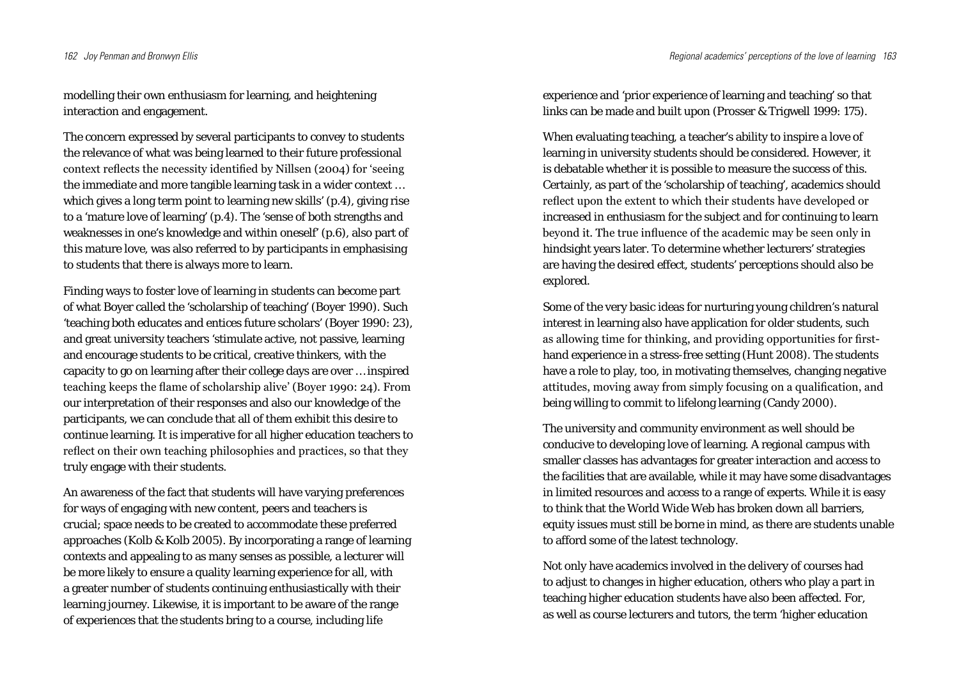modelling their own enthusiasm for learning, and heightening interaction and engagement.

The concern expressed by several participants to convey to students the relevance of what was being learned to their future professional context reflects the necessity identified by Nillsen (2004) for 'seeing the immediate and more tangible learning task in a wider context … which gives a long term point to learning new skills' (p.4), giving rise to a 'mature love of learning' (p.4). The 'sense of both strengths and weaknesses in one's knowledge and within oneself' (p.6), also part of this mature love, was also referred to by participants in emphasising to students that there is always more to learn.

Finding ways to foster love of learning in students can become part of what Boyer called the 'scholarship of teaching' (Boyer 1990). Such 'teaching both educates and entices future scholars' (Boyer 1990: 23), and great university teachers 'stimulate active, not passive, learning and encourage students to be critical, creative thinkers, with the capacity to go on learning after their college days are over … inspired teaching keeps the flame of scholarship alive' (Boyer 1990: 24). From our interpretation of their responses and also our knowledge of the participants, we can conclude that all of them exhibit this desire to continue learning. It is imperative for all higher education teachers to reflect on their own teaching philosophies and practices, so that they truly engage with their students.

An awareness of the fact that students will have varying preferences for ways of engaging with new content, peers and teachers is crucial; space needs to be created to accommodate these preferred approaches (Kolb & Kolb 2005). By incorporating a range of learning contexts and appealing to as many senses as possible, a lecturer will be more likely to ensure a quality learning experience for all, with a greater number of students continuing enthusiastically with their learning journey. Likewise, it is important to be aware of the range of experiences that the students bring to a course, including life

experience and 'prior experience of learning and teaching' so that links can be made and built upon (Prosser & Trigwell 1999: 175).

When evaluating teaching, a teacher's ability to inspire a love of learning in university students should be considered. However, it is debatable whether it is possible to measure the success of this. Certainly, as part of the 'scholarship of teaching', academics should reflect upon the extent to which their students have developed or increased in enthusiasm for the subject and for continuing to learn beyond it. The true influence of the academic may be seen only in hindsight years later. To determine whether lecturers' strategies are having the desired effect, students' perceptions should also be explored.

Some of the very basic ideas for nurturing young children's natural interest in learning also have application for older students, such as allowing time for thinking, and providing opportunities for firsthand experience in a stress-free setting (Hunt 2008). The students have a role to play, too, in motivating themselves, changing negative attitudes, moving away from simply focusing on a qualification, and being willing to commit to lifelong learning (Candy 2000).

The university and community environment as well should be conducive to developing love of learning. A regional campus with smaller classes has advantages for greater interaction and access to the facilities that are available, while it may have some disadvantages in limited resources and access to a range of experts. While it is easy to think that the World Wide Web has broken down all barriers, equity issues must still be borne in mind, as there are students unable to afford some of the latest technology.

Not only have academics involved in the delivery of courses had to adjust to changes in higher education, others who play a part in teaching higher education students have also been affected. For, as well as course lecturers and tutors, the term 'higher education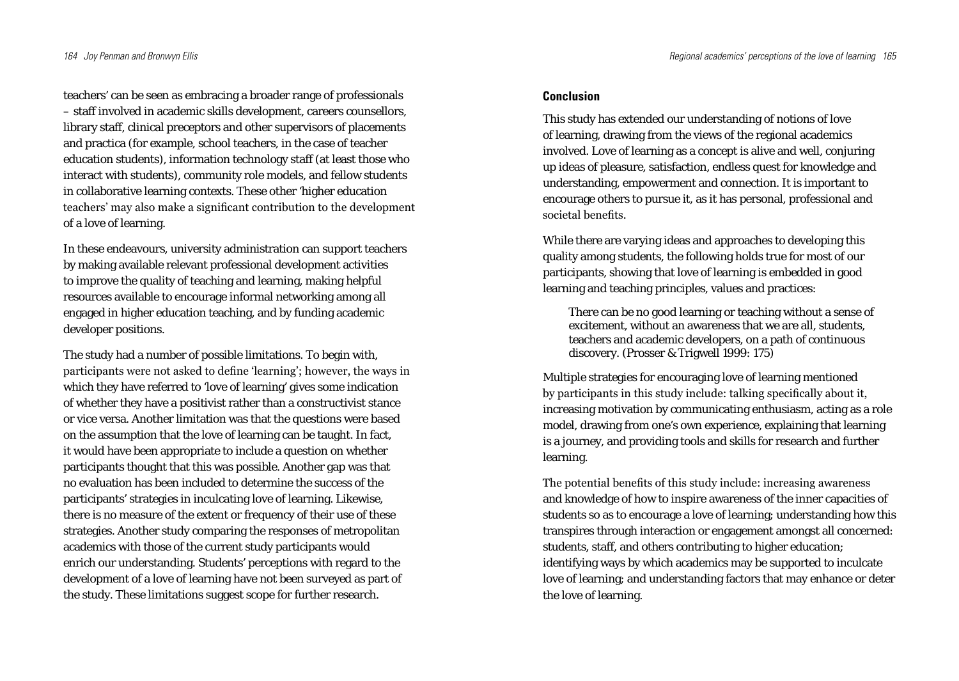teachers' can be seen as embracing a broader range of professionals – staff involved in academic skills development, careers counsellors, library staff, clinical preceptors and other supervisors of placements and practica (for example, school teachers, in the case of teacher education students), information technology staff (at least those who interact with students), community role models, and fellow students in collaborative learning contexts. These other 'higher education teachers' may also make a significant contribution to the development of a love of learning.

In these endeavours, university administration can support teachers by making available relevant professional development activities to improve the quality of teaching and learning, making helpful resources available to encourage informal networking among all engaged in higher education teaching, and by funding academic developer positions.

The study had a number of possible limitations. To begin with, participants were not asked to define 'learning'; however, the ways in which they have referred to 'love of learning' gives some indication of whether they have a positivist rather than a constructivist stance or vice versa. Another limitation was that the questions were based on the assumption that the love of learning can be taught. In fact, it would have been appropriate to include a question on whether participants thought that this was possible. Another gap was that no evaluation has been included to determine the success of the participants' strategies in inculcating love of learning. Likewise, there is no measure of the extent or frequency of their use of these strategies. Another study comparing the responses of metropolitan academics with those of the current study participants would enrich our understanding. Students' perceptions with regard to the development of a love of learning have not been surveyed as part of the study. These limitations suggest scope for further research.

### **Conclusion**

This study has extended our understanding of notions of love of learning, drawing from the views of the regional academics involved. Love of learning as a concept is alive and well, conjuring up ideas of pleasure, satisfaction, endless quest for knowledge and understanding, empowerment and connection. It is important to encourage others to pursue it, as it has personal, professional and societal benefits.

While there are varying ideas and approaches to developing this quality among students, the following holds true for most of our participants, showing that love of learning is embedded in good learning and teaching principles, values and practices:

There can be no good learning or teaching without a sense of excitement, without an awareness that we are all, students, teachers and academic developers, on a path of continuous discovery. (Prosser & Trigwell 1999: 175)

Multiple strategies for encouraging love of learning mentioned by participants in this study include: talking specifically about it, increasing motivation by communicating enthusiasm, acting as a role model, drawing from one's own experience, explaining that learning is a journey, and providing tools and skills for research and further learning.

The potential benefits of this study include: increasing awareness and knowledge of how to inspire awareness of the inner capacities of students so as to encourage a love of learning; understanding how this transpires through interaction or engagement amongst all concerned: students, staff, and others contributing to higher education; identifying ways by which academics may be supported to inculcate love of learning; and understanding factors that may enhance or deter the love of learning.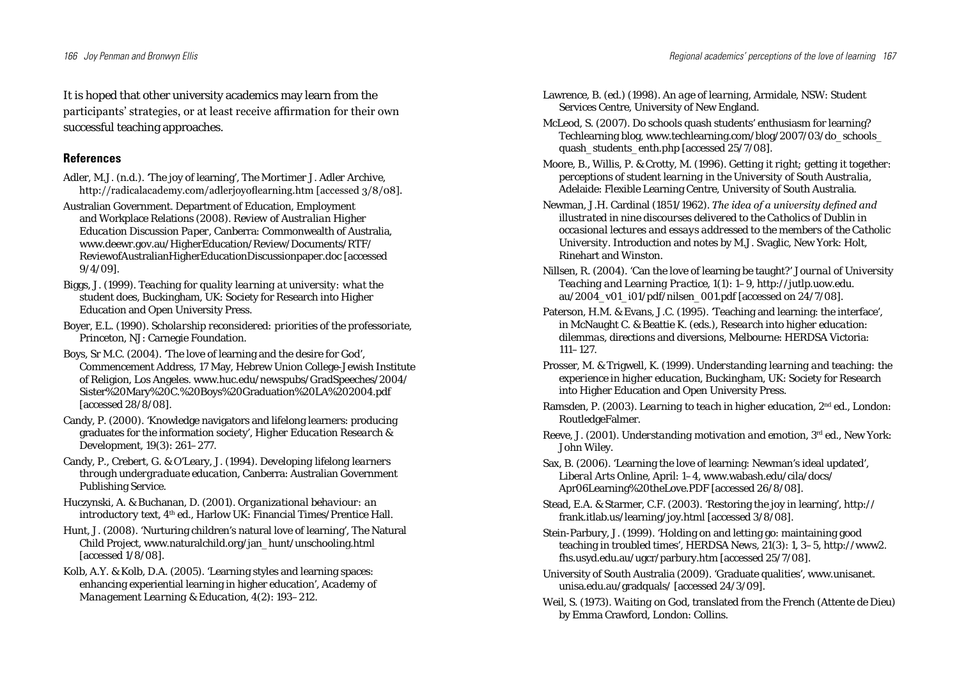It is hoped that other university academics may learn from the participants' strategies, or at least receive affirmation for their own successful teaching approaches.

# **References**

Adler, M.J. (n.d.). 'The joy of learning', *The Mortimer J. Adler Archive,* http://radicalacademy.com/adlerjoyoflearning.htm [accessed 3/8/08].

Australian Government. Department of Education, Employment and Workplace Relations (2008). *Review of Australian Higher Education Discussion Paper*, Canberra: Commonwealth of Australia, www.deewr.gov.au/HigherEducation/Review/Documents/RTF/ ReviewofAustralianHigherEducationDiscussionpaper.doc [accessed 9/4/09].

- Biggs, J. (1999). *Teaching for quality learning at university: what the student does*, Buckingham, UK: Society for Research into Higher Education and Open University Press.
- Boyer, E.L. (1990). *Scholarship reconsidered: priorities of the professoriate*, Princeton, NJ: Carnegie Foundation.
- Boys, Sr M.C. (2004). 'The love of learning and the desire for God', Commencement Address, 17 May, Hebrew Union College-Jewish Institute of Religion, Los Angeles. www.huc.edu/newspubs/GradSpeeches/2004/ Sister%20Mary%20C.%20Boys%20Graduation%20LA%202004.pdf [accessed 28/8/08].
- Candy, P. (2000). 'Knowledge navigators and lifelong learners: producing graduates for the information society', *Higher Education Research & Development*, 19(3): 261–277.
- Candy, P., Crebert, G. & O'Leary, J. (1994). *Developing lifelong learners through undergraduate education*, Canberra: Australian Government Publishing Service.
- Huczynski, A. & Buchanan, D. (2001). *Organizational behaviour: an introductory text*, 4<sup>th</sup> ed., Harlow UK: Financial Times/Prentice Hall.
- Hunt, J. (2008). 'Nurturing children's natural love of learning', The Natural Child Project, www.naturalchild.org/jan\_hunt/unschooling.html [accessed 1/8/08].
- Kolb, A.Y. & Kolb, D.A. (2005). 'Learning styles and learning spaces: enhancing experiential learning in higher education', *Academy of Management Learning & Education*, 4(2): 193–212.
- Lawrence, B. (ed.) (1998). *An age of learning*, Armidale, NSW: Student Services Centre, University of New England.
- McLeod, S. (2007). Do schools quash students' enthusiasm for learning? Techlearning blog, www.techlearning.com/blog/2007/03/do\_schools\_ quash\_students\_enth.php [accessed 25/7/08].
- Moore, B., Willis, P. & Crotty, M. (1996). *Getting it right; getting it together: perceptions of student learning in the University of South Australia*, Adelaide: Flexible Learning Centre, University of South Australia.
- Newman, J.H. Cardinal (1851/1962). *The idea of a university defined and illustrated in nine discourses delivered to the Catholics of Dublin in occasional lectures and essays addressed to the members of the Catholic University.* Introduction and notes by M.J. Svaglic, New York: Holt, Rinehart and Winston.
- Nillsen, R. (2004). 'Can the love of learning be taught?' *Journal of University Teaching and Learning Practice*, 1(1): 1–9, http://jutlp.uow.edu. au/2004\_v01\_i01/pdf/nilsen\_001.pdf [accessed on 24/7/08].
- Paterson, H.M. & Evans, J.C. (1995). 'Teaching and learning: the interface', in McNaught C. & Beattie K. (eds.), *Research into higher education: dilemmas*, directions and diversions, Melbourne: HERDSA Victoria: 111–127.
- Prosser, M. & Trigwell, K. (1999). *Understanding learning and teaching: the experience in higher education*, Buckingham, UK: Society for Research into Higher Education and Open University Press.
- Ramsden, P. (2003). *Learning to teach in higher education*, 2nd ed., London: RoutledgeFalmer.
- Reeve, J. (2001). *Understanding motivation and emotion*, 3rd ed., New York: John Wiley.
- Sax, B. (2006). 'Learning the love of learning: Newman's ideal updated', *Liberal Arts Online*, April: 1–4, www.wabash.edu/cila/docs/ Apr06Learning%20theLove.PDF [accessed 26/8/08].
- Stead, E.A. & Starmer, C.F. (2003). 'Restoring the joy in learning', http:// frank.itlab.us/learning/joy.html [accessed 3/8/08].
- Stein-Parbury, J. (1999). 'Holding on and letting go: maintaining good teaching in troubled times', *HERDSA News*, 21(3): 1, 3–5, http://www2. fhs.usyd.edu.au/ugcr/parbury.htm [accessed 25/7/08].
- University of South Australia (2009). 'Graduate qualities', www.unisanet. unisa.edu.au/gradquals/ [accessed 24/3/09].
- Weil, S. (1973). *Waiting on God*, translated from the French (*Attente de Dieu*) by Emma Crawford, London: Collins.